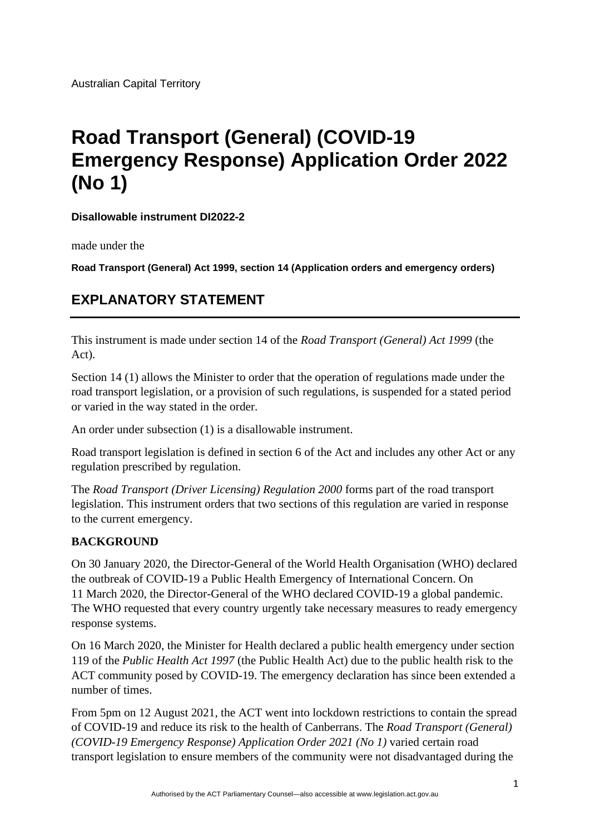Australian Capital Territory

# **Road Transport (General) (COVID-19 Emergency Response) Application Order 2022 (No 1)**

**Disallowable instrument DI2022-2**

made under the

**Road Transport (General) Act 1999, section 14 (Application orders and emergency orders)**

# **EXPLANATORY STATEMENT**

This instrument is made under section 14 of the *Road Transport (General) Act 1999* (the Act).

Section 14 (1) allows the Minister to order that the operation of regulations made under the road transport legislation, or a provision of such regulations, is suspended for a stated period or varied in the way stated in the order.

An order under subsection (1) is a disallowable instrument.

Road transport legislation is defined in section 6 of the Act and includes any other Act or any regulation prescribed by regulation.

The *Road Transport (Driver Licensing) Regulation 2000* forms part of the road transport legislation. This instrument orders that two sections of this regulation are varied in response to the current emergency.

## **BACKGROUND**

On 30 January 2020, the Director-General of the World Health Organisation (WHO) declared the outbreak of COVID-19 a Public Health Emergency of International Concern. On 11 March 2020, the Director-General of the WHO declared COVID-19 a global pandemic. The WHO requested that every country urgently take necessary measures to ready emergency response systems.

On 16 March 2020, the Minister for Health declared a public health emergency under section 119 of the *Public Health Act 1997* (the Public Health Act) due to the public health risk to the ACT community posed by COVID-19. The emergency declaration has since been extended a number of times.

From 5pm on 12 August 2021, the ACT went into lockdown restrictions to contain the spread of COVID-19 and reduce its risk to the health of Canberrans. The *Road Transport (General) (COVID-19 Emergency Response) Application Order 2021 (No 1)* varied certain road transport legislation to ensure members of the community were not disadvantaged during the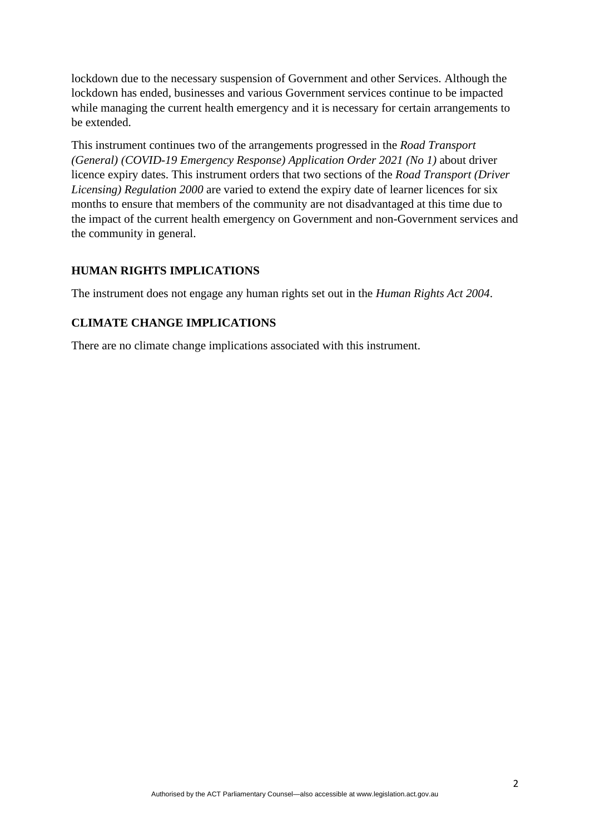lockdown due to the necessary suspension of Government and other Services. Although the lockdown has ended, businesses and various Government services continue to be impacted while managing the current health emergency and it is necessary for certain arrangements to be extended.

This instrument continues two of the arrangements progressed in the *Road Transport (General) (COVID-19 Emergency Response) Application Order 2021 (No 1)* about driver licence expiry dates. This instrument orders that two sections of the *Road Transport (Driver Licensing) Regulation 2000* are varied to extend the expiry date of learner licences for six months to ensure that members of the community are not disadvantaged at this time due to the impact of the current health emergency on Government and non-Government services and the community in general.

#### **HUMAN RIGHTS IMPLICATIONS**

The instrument does not engage any human rights set out in the *Human Rights Act 2004*.

#### **CLIMATE CHANGE IMPLICATIONS**

There are no climate change implications associated with this instrument.